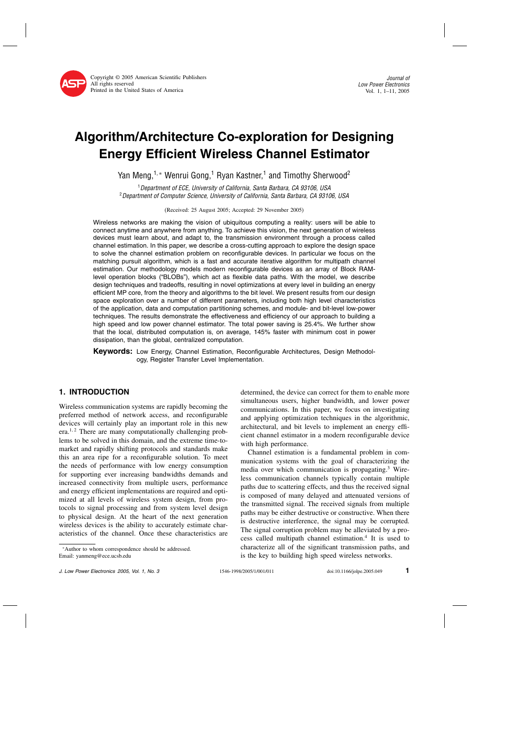# Algorithm/Architecture Co-exploration for Designing Energy Efficient Wireless Channel Estimator

Yan Meng,<sup>1,\*</sup> Wenrui Gong,<sup>1</sup> Ryan Kastner,<sup>1</sup> and Timothy Sherwood<sup>2</sup>

<sup>1</sup>Department of ECE, University of California, Santa Barbara, CA 93106, USA <sup>2</sup> Department of Computer Science, University of California, Santa Barbara, CA 93106, USA

(Received: 25 August 2005; Accepted: 29 November 2005)

Wireless networks are making the vision of ubiquitous computing a reality: users will be able to connect anytime and anywhere from anything. To achieve this vision, the next generation of wireless devices must learn about, and adapt to, the transmission environment through a process called channel estimation. In this paper, we describe a cross-cutting approach to explore the design space to solve the channel estimation problem on reconfigurable devices. In particular we focus on the matching pursuit algorithm, which is a fast and accurate iterative algorithm for multipath channel estimation. Our methodology models modern reconfigurable devices as an array of Block RAMlevel operation blocks ("BLOBs"), which act as flexible data paths. With the model, we describe design techniques and tradeoffs, resulting in novel optimizations at every level in building an energy efficient MP core, from the theory and algorithms to the bit level. We present results from our design space exploration over a number of different parameters, including both high level characteristics of the application, data and computation partitioning schemes, and module- and bit-level low-power techniques. The results demonstrate the effectiveness and efficiency of our approach to building a high speed and low power channel estimator. The total power saving is 25.4%. We further show that the local, distributed computation is, on average, 145% faster with minimum cost in power dissipation, than the global, centralized computation.

**Keywords:** Low Energy, Channel Estimation, Reconfigurable Architectures, Design Methodology, Register Transfer Level Implementation.

## 1. INTRODUCTION

Wireless communication systems are rapidly becoming the preferred method of network access, and reconfigurable devices will certainly play an important role in this new  $era<sup>1,2</sup>$  There are many computationally challenging problems to be solved in this domain, and the extreme time-tomarket and rapidly shifting protocols and standards make this an area ripe for a reconfigurable solution.To meet the needs of performance with low energy consumption for supporting ever increasing bandwidths demands and increased connectivity from multiple users, performance and energy efficient implementations are required and optimized at all levels of wireless system design, from protocols to signal processing and from system level design to physical design.At the heart of the next generation wireless devices is the ability to accurately estimate characteristics of the channel. Once these characteristics are determined, the device can correct for them to enable more simultaneous users, higher bandwidth, and lower power communications.In this paper, we focus on investigating and applying optimization techniques in the algorithmic, architectural, and bit levels to implement an energy efficient channel estimator in a modern reconfigurable device with high performance.

Channel estimation is a fundamental problem in communication systems with the goal of characterizing the media over which communication is propagating. $3$  Wireless communication channels typically contain multiple paths due to scattering effects, and thus the received signal is composed of many delayed and attenuated versions of the transmitted signal.The received signals from multiple paths may be either destructive or constructive.When there is destructive interference, the signal may be corrupted. The signal corruption problem may be alleviated by a process called multipath channel estimation.4 It is used to characterize all of the significant transmission paths, and is the key to building high speed wireless networks.

<sup>∗</sup>Author to whom correspondence should be addressed. Email: yanmeng@ece.ucsb.edu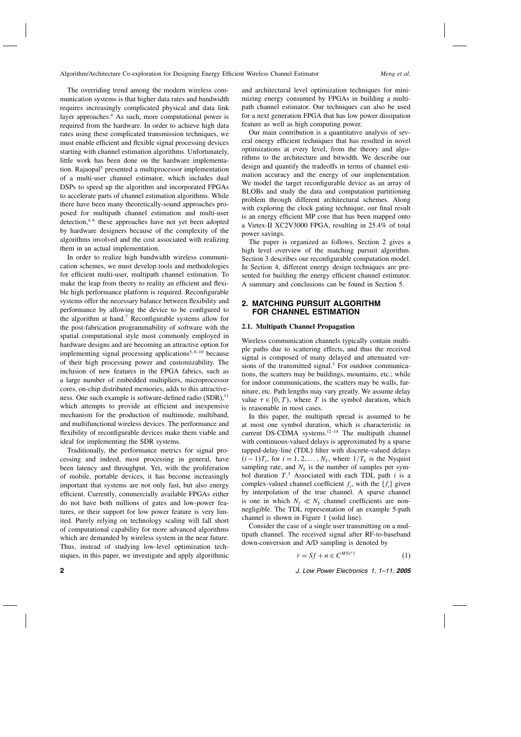The overriding trend among the modern wireless communication systems is that higher data rates and bandwidth requires increasingly complicated physical and data link layer approaches.<sup>4</sup> As such, more computational power is required from the hardware.In order to achieve high data rates using these complicated transmission techniques, we must enable efficient and flexible signal processing devices starting with channel estimation algorithms. Unfortunately, little work has been done on the hardware implementation. Rajaopal<sup>5</sup> presented a multiprocessor implementation of a multi-user channel estimator, which includes dual DSPs to speed up the algorithm and incorporated FPGAs to accelerate parts of channel estimation algorithms.While there have been many theoretically-sound approaches proposed for multipath channel estimation and multi-user detection, $4,6$  these approaches have not yet been adopted by hardware designers because of the complexity of the algorithms involved and the cost associated with realizing them in an actual implementation.

In order to realize high bandwidth wireless communication schemes, we must develop tools and methodologies for efficient multi-user, multipath channel estimation.To make the leap from theory to reality an efficient and flexible high performance platform is required. Reconfigurable systems offer the necessary balance between flexibility and performance by allowing the device to be configured to the algorithm at hand.<sup>7</sup> Reconfigurable systems allow for the post-fabrication programmability of software with the spatial computational style most commonly employed in hardware designs and are becoming an attractive option for implementing signal processing applications<sup>5, 8–10</sup> because of their high processing power and customizability.The inclusion of new features in the FPGA fabrics, such as a large number of embedded multipliers, microprocessor cores, on-chip distributed memories, adds to this attractiveness. One such example is software-defined radio  $(SDR)$ ,<sup>11</sup> which attempts to provide an efficient and inexpensive mechanism for the production of multimode, multiband, and multifunctional wireless devices.The performance and flexibility of reconfigurable devices make them viable and ideal for implementing the SDR systems.

Traditionally, the performance metrics for signal processing and indeed, most processing in general, have been latency and throughput. Yet, with the proliferation of mobile, portable devices, it has become increasingly important that systems are not only fast, but also energy efficient.Currently, commercially available FPGAs either do not have both millions of gates and low-power features, or their support for low power feature is very limited. Purely relying on technology scaling will fall short of computational capability for more advanced algorithms which are demanded by wireless system in the near future. Thus, instead of studying low-level optimization techniques, in this paper, we investigate and apply algorithmic

and architectural level optimization techniques for minimizing energy consumed by FPGAs in building a multipath channel estimator. Our techniques can also be used for a next generation FPGA that has low power dissipation feature as well as high computing power.

Our main contribution is a quantitative analysis of several energy efficient techniques that has resulted in novel optimizations at every level, from the theory and algorithms to the architecture and bitwidth.We describe our design and quantify the tradeoffs in terms of channel estimation accuracy and the energy of our implementation. We model the target reconfigurable device as an array of BLOBs and study the data and computation partitioning problem through different architectural schemes. Along with exploring the clock gating technique, our final result is an energy efficient MP core that has been mapped onto a Virtex-II XC2V3000 FPGA, resulting in 25.4% of total power savings.

The paper is organized as follows. Section 2 gives a high level overview of the matching pursuit algorithm. Section 3 describes our reconfigurable computation model. In Section 4, different energy design techniques are presented for building the energy efficient channel estimator. A summary and conclusions can be found in Section 5.

## 2.MATCHING PURSUIT ALGORITHM FOR CHANNEL ESTIMATION

#### 2.1. Multipath Channel Propagation

Wireless communication channels typically contain multiple paths due to scattering effects, and thus the received signal is composed of many delayed and attenuated versions of the transmitted signal. $3$  For outdoor communications, the scatters may be buildings, mountains, etc.; while for indoor communications, the scatters may be walls, furniture, etc. Path lengths may vary greatly. We assume delay value  $\tau \in [0, T)$ , where T is the symbol duration, which is reasonable in most cases.

In this paper, the multipath spread is assumed to be at most one symbol duration, which is characteristic in current DS-CDMA systems.<sup>12-14</sup> The multipath channel with continuous-valued delays is approximated by a sparse tapped-delay-line (TDL) filter with discrete-valued delays  $(i-1)T_s$ , for  $i = 1, 2, ..., N_s$ , where  $1/T_s$  is the Nyquist sampling rate, and  $N<sub>S</sub>$  is the number of samples per symbol duration  $T^3$ . Associated with each TDL path i is a complex-valued channel coefficient  $f_i$ , with the  $\{f_i\}$  given by interpolation of the true channel. A sparse channel is one in which  $N_f \ll N_S$  channel coefficients are nonnegligible.The TDL representation of an example 5-path channel is shown in Figure 1 (solid line).

Consider the case of a single user transmitting on a multipath channel. The received signal after RF-to-baseband down-conversion and A/D sampling is denoted by

$$
r = Sf + n \in C^{MNs^*1} \tag{1}
$$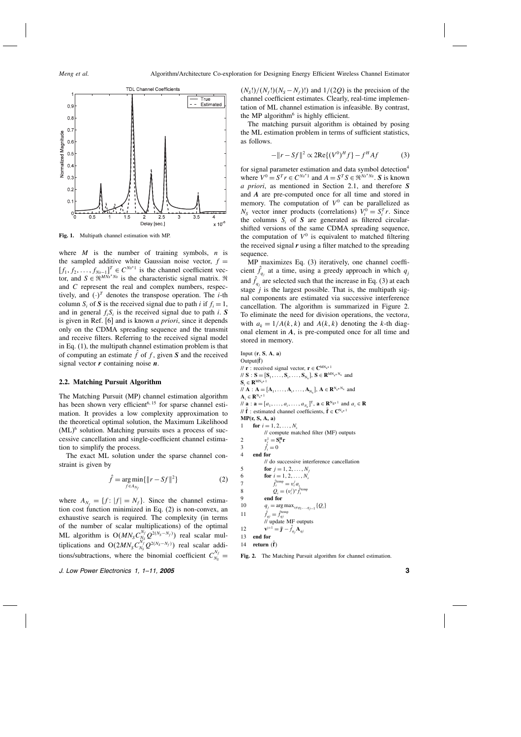

Fig. 1. Multipath channel estimation with MP.

where  $M$  is the number of training symbols,  $n$  is the sampled additive white Gaussian noise vector,  $f =$  $[f_1, f_2, \ldots, f_{Ns-1}]^T \in C^{Ns^*1}$  is the channel coefficient vector, and  $S \in \mathbb{R}^{MN_s \times N_s}$  is the characteristic signal matrix.  $\mathbb{R}$ and C represent the real and complex numbers, respectively, and  $(\cdot)^T$  denotes the transpose operation. The *i*-th column S<sub>i</sub> of S is the received signal due to path i if  $f_i = 1$ , and in general  $f_iS_i$  is the received signal due to path i. S is given in Ref. [6] and is known *a priori*, since it depends only on the CDMA spreading sequence and the transmit and receive filters. Referring to the received signal model in Eq.(1), the multipath channel estimation problem is that of computing an estimate  $f$  of  $f$ , given  $S$  and the received signal vector  $\boldsymbol{r}$  containing noise  $\boldsymbol{n}$ .

#### 2.2. Matching Pursuit Algorithm

The Matching Pursuit (MP) channel estimation algorithm has been shown very efficient<sup>6, 15</sup> for sparse channel estimation.It provides a low complexity approximation to the theoretical optimal solution, the Maximum Likelihood  $(ML)^6$  solution. Matching pursuits uses a process of successive cancellation and single-coefficient channel estimation to simplify the process.

The exact ML solution under the sparse channel constraint is given by

$$
\hat{f} = \underset{f \in A_{N_f}}{\arg \min} \{ \|r - Sf\|^2 \}
$$
 (2)

where  $A_{N_f} = \{f : |f| = N_f\}$ . Since the channel estimation cost function minimized in Eq.(2) is non-convex, an exhaustive search is required. The complexity (in terms of the number of scalar multiplications) of the optimal ML algorithm is  $O(MN_S C_{N_S}^{N_f} Q^{2(N_S-N_f)})$  real scalar multiplications and O(2 $MN_S C_{N_S}^{N_f^2} Q^{2(N_S-N_f)}$ ) real scalar additions/subtractions, where the binomial coefficient  $C_{N_s}^{N_f}$  =  $(N_s!)/(N_f!)(N_s - N_f)!$  and  $1/(2Q)$  is the precision of the channel coefficient estimates.Clearly, real-time implementation of ML channel estimation is infeasible.By contrast, the MP algorithm $<sup>6</sup>$  is highly efficient.</sup>

The matching pursuit algorithm is obtained by posing the ML estimation problem in terms of sufficient statistics, as follows.

$$
-\|r - Sf\|^2 \propto 2\text{Re}\{(V^0)^H f\} - f^H A f \tag{3}
$$

for signal parameter estimation and data symbol detection<sup>4</sup> where  $V^0 = S^T r \in C^{Ns*1}$  and  $A = S^T S \in \mathbb{R}^{Ns*Ns}$ . S is known a priori, as mentioned in Section 2.1, and therefore S and A are pre-computed once for all time and stored in memory. The computation of  $V^0$  can be parallelized as  $N_S$  vector inner products (correlations)  $V_i^0 = S_i^T r$ . Since the columns  $S_i$  of S are generated as filtered circularshifted versions of the same CDMA spreading sequence, the computation of  $V^0$  is equivalent to matched filtering the received signal  $r$  using a filter matched to the spreading sequence.

MP maximizes Eq.(3) iteratively, one channel coefficient  $f_{q_j}$  at a time, using a greedy approach in which  $q_j$ and  $f_{q_j}$  are selected such that the increase in Eq. (3) at each stage  $j$  is the largest possible. That is, the multipath signal components are estimated via successive interference cancellation.The algorithm is summarized in Figure 2. To eliminate the need for division operations, the vectora, with  $a_k = 1/A(k, k)$  and  $A(k, k)$  denoting the k-th diagonal element in  $A$ , is pre-computed once for all time and stored in memory.

Input  $(r, S, A, a)$ Output $(\hat{\mathbf{f}})$ //  $\mathbf{r}$  : received signal vector,  $\mathbf{r} \in \mathbf{C}^{MN_s*1}$  $\mathcal{N} \mathbf{S} : \mathbf{S} = [\mathbf{S}_1, \dots, \mathbf{S}_i, \dots, \mathbf{S}_{N_s}], \mathbf{S} \in \mathbf{R}^{MN_s*N_s}$  and  $S_i \in \mathbf{R}^{MN_s * 1}$  $M \mathbf{A} : \mathbf{A} = [\mathbf{A}_1, \dots, \mathbf{A}_i, \dots, \mathbf{A}_{N_s}], \mathbf{A} \in \mathbf{R}^{N_{s*}N_s}$  and  $\mathbf{A}_{:} \in \mathbb{R}^{N_{s}*1}$  $\mathcal{U}$  **a** : **a** =  $[a_1, \ldots, a_i, \ldots, a_{N_s}]^T$ , **a**  $\in \mathbb{R}^{N_{S*}1}$  and  $a_i \in \mathbb{R}$ //  $\hat{\mathbf{f}}$  : estimated channel coefficients,  $\bar{\mathbf{f}} \in \mathbb{C}^{N_s \times 1}$  $MP(r, S, A, a)$ 1 **for**  $i = 1, 2, ..., N_s$ // compute matched filter (MF) outputs 2  $v_i^1 = S_i^H r$ 3  $f_i = 0$ 4 end for // do successive interference cancellation 5 **for**  $j = 1, 2, ..., N_f$ <br>6 **for**  $i = 1, 2, ..., N_s$ 6 **for**  $i = 1, 2, ..., N_s$ <br>7  $\hat{f}_i^{\text{temp}} = v_i^j a_i$ 7  $\hat{f}_i^{\text{temp}} = v_i^j a_i$ 8  $Q_i = (v_i^j)^* \hat{f}_i^{\text{temp}}$ 9 end for 10  $q_j = \arg \max_{i \neq q_1, ..., q_{j-1}} \{Q_i\}$ 11  $\hat{f}_{qj} = \hat{f}_{qj}^{\text{temp}}$ // update MF outputs 12  ${\bf v}^{j+1} = {\bf j}^j - \tilde{f}_{qj} {\bf A}_{qj}$ 13 end for 14 return  $(f)$ Fig. 2. The Matching Pursuit algorithm for channel estimation.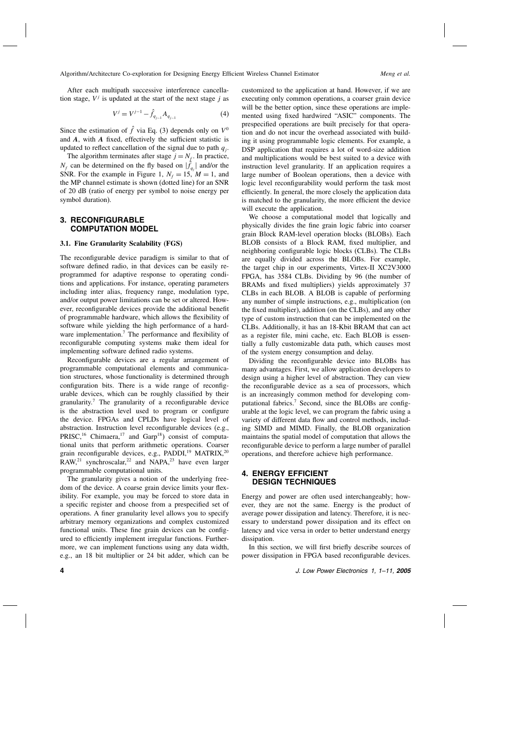After each multipath successive interference cancellation stage,  $V^j$  is updated at the start of the next stage j as

$$
V^{j} = V^{j-1} - \hat{f}_{q_{j-1}} A_{q_{j-1}}
$$
\n(4)

Since the estimation of  $\hat{f}$  via Eq. (3) depends only on  $V^0$ and A, with A fixed, effectively the sufficient statistic is updated to reflect cancellation of the signal due to path  $q_i$ .

The algorithm terminates after stage  $j = N_f$ . In practice,  $N_f$  can be determined on the fly based on  $|f_{q_j}|$  and/or the SNR. For the example in Figure 1,  $N_f = 15$ ,  $M = 1$ , and the MP channel estimate is shown (dotted line) for an SNR of 20 dB (ratio of energy per symbol to noise energy per symbol duration).

## 3.RECONFIGURABLE COMPUTATION MODEL

#### 3.1. Fine Granularity Scalability (FGS)

The reconfigurable device paradigm is similar to that of software defined radio, in that devices can be easily reprogrammed for adaptive response to operating conditions and applications. For instance, operating parameters including inter alias, frequency range, modulation type, and/or output power limitations can be set or altered.However, reconfigurable devices provide the additional benefit of programmable hardware, which allows the flexibility of software while yielding the high performance of a hardware implementation.<sup>7</sup> The performance and flexibility of reconfigurable computing systems make them ideal for implementing software defined radio systems.

Reconfigurable devices are a regular arrangement of programmable computational elements and communication structures, whose functionality is determined through configuration bits. There is a wide range of reconfigurable devices, which can be roughly classified by their granularity.7 The granularity of a reconfigurable device is the abstraction level used to program or configure the device.FPGAs and CPLDs have logical level of abstraction. Instruction level reconfigurable devices (e.g., PRISC,<sup>16</sup> Chimaera,<sup>17</sup> and Garp<sup>18</sup>) consist of computational units that perform arithmetic operations.Coarser grain reconfigurable devices, e.g., PADDI,<sup>19</sup> MATRIX,<sup>20</sup>  $RAW<sub>1</sub><sup>21</sup> synchroscalar<sub>1</sub><sup>22</sup> and NAPA<sub>1</sub><sup>23</sup> have even larger$ programmable computational units.

The granularity gives a notion of the underlying freedom of the device. A coarse grain device limits your flexibility. For example, you may be forced to store data in a specific register and choose from a prespecified set of operations.A finer granularity level allows you to specify arbitrary memory organizations and complex customized functional units. These fine grain devices can be configured to efficiently implement irregular functions. Furthermore, we can implement functions using any data width, e.g., an 18 bit multiplier or 24 bit adder, which can be

customized to the application at hand.However, if we are executing only common operations, a coarser grain device will be the better option, since these operations are implemented using fixed hardwired "ASIC" components.The prespecified operations are built precisely for that operation and do not incur the overhead associated with building it using programmable logic elements. For example, a DSP application that requires a lot of word-size addition and multiplications would be best suited to a device with instruction level granularity. If an application requires a large number of Boolean operations, then a device with logic level reconfigurability would perform the task most efficiently. In general, the more closely the application data is matched to the granularity, the more efficient the device will execute the application.

We choose a computational model that logically and physically divides the fine grain logic fabric into coarser grain Block RAM-level operation blocks (BLOBs). Each BLOB consists of a Block RAM, fixed multiplier, and neighboring configurable logic blocks (CLBs).The CLBs are equally divided across the BLOBs. For example, the target chip in our experiments, Virtex-II XC2V3000 FPGA, has 3584 CLBs. Dividing by 96 (the number of BRAMs and fixed multipliers) yields approximately 37 CLBs in each BLOB.A BLOB is capable of performing any number of simple instructions, e.g., multiplication (on the fixed multiplier), addition (on the CLBs), and any other type of custom instruction that can be implemented on the CLBs.Additionally, it has an 18-Kbit BRAM that can act as a register file, mini cache, etc. Each BLOB is essentially a fully customizable data path, which causes most of the system energy consumption and delay.

Dividing the reconfigurable device into BLOBs has many advantages.First, we allow application developers to design using a higher level of abstraction.They can view the reconfigurable device as a sea of processors, which is an increasingly common method for developing computational fabrics.<sup>7</sup> Second, since the BLOBs are configurable at the logic level, we can program the fabric using a variety of different data flow and control methods, including SIMD and MIMD. Finally, the BLOB organization maintains the spatial model of computation that allows the reconfigurable device to perform a large number of parallel operations, and therefore achieve high performance.

## 4.ENERGY EFFICIENT DESIGN TECHNIQUES

Energy and power are often used interchangeably; however, they are not the same.Energy is the product of average power dissipation and latency.Therefore, it is necessary to understand power dissipation and its effect on latency and vice versa in order to better understand energy dissipation.

In this section, we will first briefly describe sources of power dissipation in FPGA based reconfigurable devices.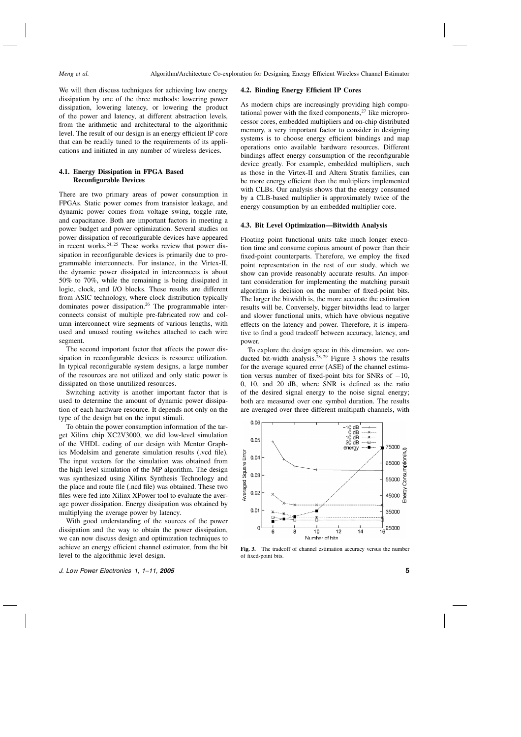We will then discuss techniques for achieving low energy dissipation by one of the three methods: lowering power dissipation, lowering latency, or lowering the product of the power and latency, at different abstraction levels, from the arithmetic and architectural to the algorithmic level.The result of our design is an energy efficient IP core that can be readily tuned to the requirements of its applications and initiated in any number of wireless devices.

## 4.1. Energy Dissipation in FPGA Based Reconfigurable Devices

There are two primary areas of power consumption in FPGAs. Static power comes from transistor leakage, and dynamic power comes from voltage swing, toggle rate, and capacitance. Both are important factors in meeting a power budget and power optimization. Several studies on power dissipation of reconfigurable devices have appeared in recent works. $24, 25$  These works review that power dissipation in reconfigurable devices is primarily due to programmable interconnects. For instance, in the Virtex-II, the dynamic power dissipated in interconnects is about 50% to 70%, while the remaining is being dissipated in logic, clock, and I/O blocks. These results are different from ASIC technology, where clock distribution typically dominates power dissipation.<sup>26</sup> The programmable interconnects consist of multiple pre-fabricated row and column interconnect wire segments of various lengths, with used and unused routing switches attached to each wire segment.

The second important factor that affects the power dissipation in reconfigurable devices is resource utilization. In typical reconfigurable system designs, a large number of the resources are not utilized and only static power is dissipated on those unutilized resources.

Switching activity is another important factor that is used to determine the amount of dynamic power dissipation of each hardware resource.It depends not only on the type of the design but on the input stimuli.

To obtain the power consumption information of the target Xilinx chip XC2V3000, we did low-level simulation of the VHDL coding of our design with Mentor Graphics Modelsim and generate simulation results (.vcd file). The input vectors for the simulation was obtained from the high level simulation of the MP algorithm.The design was synthesized using Xilinx Synthesis Technology and the place and route file (.ncd file) was obtained. These two files were fed into Xilinx XPower tool to evaluate the average power dissipation.Energy dissipation was obtained by multiplying the average power by latency.

With good understanding of the sources of the power dissipation and the way to obtain the power dissipation, we can now discuss design and optimization techniques to achieve an energy efficient channel estimator, from the bit level to the algorithmic level design.

#### 4.2. Binding Energy Efficient IP Cores

As modern chips are increasingly providing high computational power with the fixed components, $27$  like microprocessor cores, embedded multipliers and on-chip distributed memory, a very important factor to consider in designing systems is to choose energy efficient bindings and map operations onto available hardware resources. Different bindings affect energy consumption of the reconfigurable device greatly. For example, embedded multipliers, such as those in the Virtex-II and Altera Stratix families, can be more energy efficient than the multipliers implemented with CLBs. Our analysis shows that the energy consumed by a CLB-based multiplier is approximately twice of the energy consumption by an embedded multiplier core.

## 4.3. Bit Level Optimization—Bitwidth Analysis

Floating point functional units take much longer execution time and consume copious amount of power than their fixed-point counterparts. Therefore, we employ the fixed point representation in the rest of our study, which we show can provide reasonably accurate results. An important consideration for implementing the matching pursuit algorithm is decision on the number of fixed-point bits. The larger the bitwidth is, the more accurate the estimation results will be.Conversely, bigger bitwidths lead to larger and slower functional units, which have obvious negative effects on the latency and power.Therefore, it is imperative to find a good tradeoff between accuracy, latency, and power.

To explore the design space in this dimension, we conducted bit-width analysis.<sup>28, 29</sup> Figure 3 shows the results for the average squared error (ASE) of the channel estimation versus number of fixed-point bits for SNRs of  $-10$ , 0, 10, and 20 dB, where SNR is defined as the ratio of the desired signal energy to the noise signal energy; both are measured over one symbol duration. The results are averaged over three different multipath channels, with



Fig. 3. The tradeoff of channel estimation accuracy versus the number of fixed-point bits.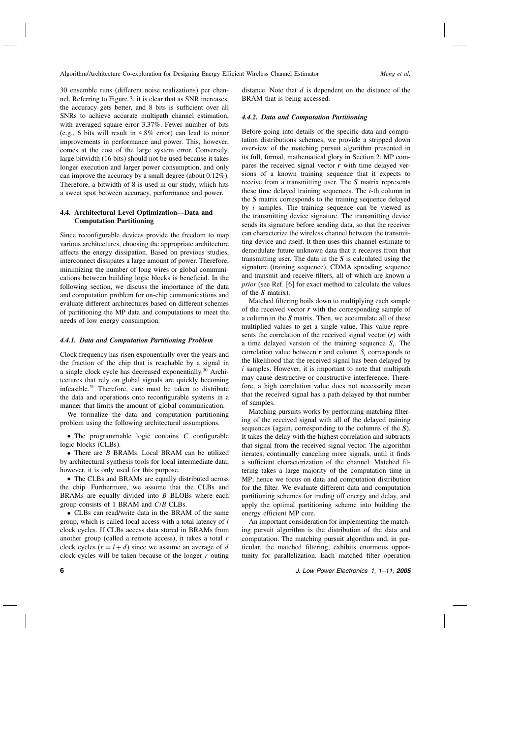30 ensemble runs (different noise realizations) per channel. Referring to Figure 3, it is clear that as SNR increases, the accuracy gets better, and 8 bits is sufficient over all SNRs to achieve accurate multipath channel estimation, with averaged square error 3.37%. Fewer number of bits (e.g., 6 bits will result in 4.8% error) can lead to minor improvements in performance and power. This, however, comes at the cost of the large system error.Conversely, large bitwidth (16 bits) should not be used because it takes longer execution and larger power consumption, and only can improve the accuracy by a small degree (about 0.12%). Therefore, a bitwidth of 8 is used in our study, which hits a sweet spot between accuracy, performance and power.

## 4.4. Architectural Level Optimization—Data and Computation Partitioning

Since reconfigurable devices provide the freedom to map various architectures, choosing the appropriate architecture affects the energy dissipation. Based on previous studies, interconnect dissipates a large amount of power.Therefore, minimizing the number of long wires or global communications between building logic blocks is beneficial.In the following section, we discuss the importance of the data and computation problem for on-chip communications and evaluate different architectures based on different schemes of partitioning the MP data and computations to meet the needs of low energy consumption.

#### 4.4.1. Data and Computation Partitioning Problem

Clock frequency has risen exponentially over the years and the fraction of the chip that is reachable by a signal in a single clock cycle has decreased exponentially.<sup>30</sup> Architectures that rely on global signals are quickly becoming infeasible.<sup>31</sup> Therefore, care must be taken to distribute the data and operations onto reconfigurable systems in a manner that limits the amount of global communication.

We formalize the data and computation partitioning problem using the following architectural assumptions.

 $\bullet$  The programmable logic contains  $C$  configurable logic blocks (CLBs).

• There are *B* BRAMs. Local BRAM can be utilized by architectural synthesis tools for local intermediate data; however, it is only used for this purpose.

• The CLBs and BRAMs are equally distributed across the chip. Furthermore, we assume that the CLBs and BRAMs are equally divided into  $B$  BLOBs where each group consists of 1 BRAM and C/B CLBs.

• CLBs can read/write data in the BRAM of the same group, which is called local access with a total latency of l clock cycles.If CLBs access data stored in BRAMs from another group (called a remote access), it takes a total  $r$ clock cycles  $(r = l + d)$  since we assume an average of d clock cycles will be taken because of the longer  $r$  outing

distance. Note that  $d$  is dependent on the distance of the BRAM that is being accessed.

#### 4.4.2. Data and Computation Partitioning

Before going into details of the specific data and computation distributions schemes, we provide a stripped down overview of the matching pursuit algorithm presented in its full, formal, mathematical glory in Section 2.MP compares the received signal vector  $\boldsymbol{r}$  with time delayed versions of a known training sequence that it expects to receive from a transmitting user. The  $S$  matrix represents these time delayed training sequences. The  $i$ -th column in the S matrix corresponds to the training sequence delayed by  $i$  samples. The training sequence can be viewed as the transmitting device signature.The transmitting device sends its signature before sending data, so that the receiver can characterize the wireless channel between the transmitting device and itself.It then uses this channel estimate to demodulate future unknown data that it receives from that transmitting user. The data in the  $S$  is calculated using the signature (training sequence), CDMA spreading sequence and transmit and receive filters, all of which are known a prior (see Ref. [6] for exact method to calculate the values of the S matrix).

Matched filtering boils down to multiplying each sample of the received vector  $r$  with the corresponding sample of a column in the  $S$  matrix. Then, we accumulate all of these multiplied values to get a single value.This value represents the correlation of the received signal vector  $(r)$  with a time delayed version of the training sequence  $S_i$ . The correlation value between  $r$  and column  $S_i$  corresponds to the likelihood that the received signal has been delayed by  $i$  samples. However, it is important to note that multipath may cause destructive or constructive interference.Therefore, a high correlation value does not necessarily mean that the received signal has a path delayed by that number of samples.

Matching pursuits works by performing matching filtering of the received signal with all of the delayed training sequences (again, corresponding to the columns of the S). It takes the delay with the highest correlation and subtracts that signal from the received signal vector. The algorithm iterates, continually canceling more signals, until it finds a sufficient characterization of the channel. Matched filtering takes a large majority of the computation time in MP; hence we focus on data and computation distribution for the filter.We evaluate different data and computation partitioning schemes for trading off energy and delay, and apply the optimal partitioning scheme into building the energy efficient MP core.

An important consideration for implementing the matching pursuit algorithm is the distribution of the data and computation.The matching pursuit algorithm and, in particular, the matched filtering, exhibits enormous opportunity for parallelization. Each matched filter operation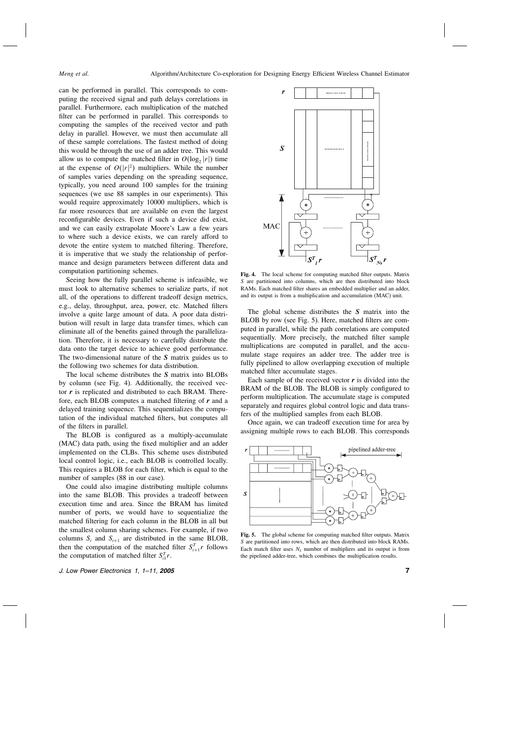can be performed in parallel.This corresponds to computing the received signal and path delays correlations in parallel.Furthermore, each multiplication of the matched filter can be performed in parallel. This corresponds to computing the samples of the received vector and path delay in parallel.However, we must then accumulate all of these sample correlations.The fastest method of doing this would be through the use of an adder tree.This would allow us to compute the matched filter in  $O(\log_2 |r|)$  time at the expense of  $O(|r|^2)$  multipliers. While the number of samples varies depending on the spreading sequence, typically, you need around 100 samples for the training sequences (we use 88 samples in our experiments). This would require approximately 10000 multipliers, which is far more resources that are available on even the largest reconfigurable devices. Even if such a device did exist, and we can easily extrapolate Moore's Law a few years to where such a device exists, we can rarely afford to devote the entire system to matched filtering. Therefore, it is imperative that we study the relationship of performance and design parameters between different data and computation partitioning schemes.

Seeing how the fully parallel scheme is infeasible, we must look to alternative schemes to serialize parts, if not all, of the operations to different tradeoff design metrics, e.g., delay, throughput, area, power, etc. Matched filters involve a quite large amount of data. A poor data distribution will result in large data transfer times, which can eliminate all of the benefits gained through the parallelization.Therefore, it is necessary to carefully distribute the data onto the target device to achieve good performance. The two-dimensional nature of the S matrix guides us to the following two schemes for data distribution.

The local scheme distributes the S matrix into BLOBs by column (see Fig. 4). Additionally, the received vector  $r$  is replicated and distributed to each BRAM. Therefore, each BLOB computes a matched filtering of  $r$  and a delayed training sequence. This sequentializes the computation of the individual matched filters, but computes all of the filters in parallel.

The BLOB is configured as a multiply-accumulate (MAC) data path, using the fixed multiplier and an adder implemented on the CLBs.This scheme uses distributed local control logic, i.e., each BLOB is controlled locally. This requires a BLOB for each filter, which is equal to the number of samples (88 in our case).

One could also imagine distributing multiple columns into the same BLOB.This provides a tradeoff between execution time and area. Since the BRAM has limited number of ports, we would have to sequentialize the matched filtering for each column in the BLOB in all but the smallest column sharing schemes. For example, if two columns  $S_i$  and  $S_{i+1}$  are distributed in the same BLOB, then the computation of the matched filter  $S_{i+1}^T r$  follows the computation of matched filter  $S_{i1}^T r$ .



Fig. 4. The local scheme for computing matched filter outputs. Matrix S are partitioned into columns, which are then distributed into block RAMs.Each matched filter shares an embedded multiplier and an adder, and its output is from a multiplication and accumulation (MAC) unit.

The global scheme distributes the S matrix into the BLOB by row (see Fig. 5). Here, matched filters are computed in parallel, while the path correlations are computed sequentially. More precisely, the matched filter sample multiplications are computed in parallel, and the accumulate stage requires an adder tree. The adder tree is fully pipelined to allow overlapping execution of multiple matched filter accumulate stages.

Each sample of the received vector  $\boldsymbol{r}$  is divided into the BRAM of the BLOB.The BLOB is simply configured to perform multiplication.The accumulate stage is computed separately and requires global control logic and data transfers of the multiplied samples from each BLOB.

Once again, we can tradeoff execution time for area by assigning multiple rows to each BLOB.This corresponds



Fig. 5. The global scheme for computing matched filter outputs. Matrix S are partitioned into rows, which are then distributed into block RAMs. Each match filter uses  $N<sub>S</sub>$  number of multipliers and its output is from the pipelined adder-tree, which combines the multiplication results.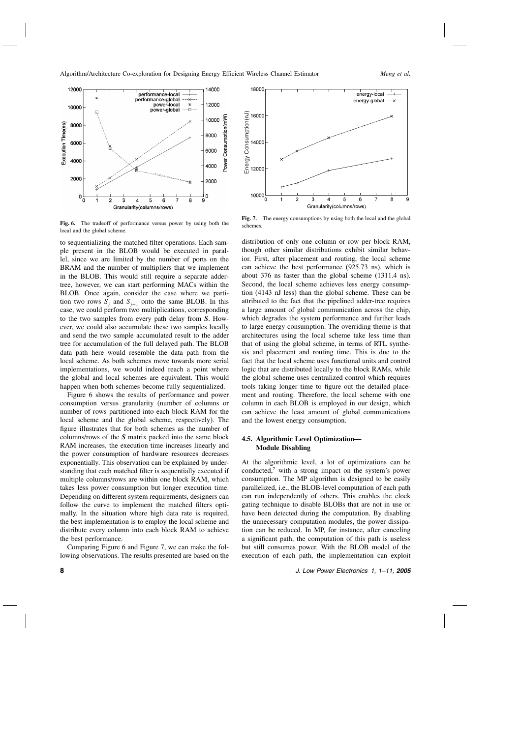

Fig. 6. The tradeoff of performance versus power by using both the local and the global scheme.

to sequentializing the matched filter operations.Each sample present in the BLOB would be executed in parallel, since we are limited by the number of ports on the BRAM and the number of multipliers that we implement in the BLOB.This would still require a separate addertree, however, we can start performing MACs within the BLOB. Once again, consider the case where we partition two rows  $S_i$  and  $S_{i+1}$  onto the same BLOB. In this case, we could perform two multiplications, corresponding to the two samples from every path delay from S. However, we could also accumulate these two samples locally and send the two sample accumulated result to the adder tree for accumulation of the full delayed path.The BLOB data path here would resemble the data path from the local scheme. As both schemes move towards more serial implementations, we would indeed reach a point where the global and local schemes are equivalent.This would happen when both schemes become fully sequentialized.

Figure 6 shows the results of performance and power consumption versus granularity (number of columns or number of rows partitioned into each block RAM for the local scheme and the global scheme, respectively). The figure illustrates that for both schemes as the number of columns/rows of the S matrix packed into the same block RAM increases, the execution time increases linearly and the power consumption of hardware resources decreases exponentially.This observation can be explained by understanding that each matched filter is sequentially executed if multiple columns/rows are within one block RAM, which takes less power consumption but longer execution time. Depending on different system requirements, designers can follow the curve to implement the matched filters optimally. In the situation where high data rate is required, the best implementation is to employ the local scheme and distribute every column into each block RAM to achieve the best performance.

Comparing Figure 6 and Figure 7, we can make the following observations.The results presented are based on the



Fig. 7. The energy consumptions by using both the local and the global schemes.

distribution of only one column or row per block RAM, though other similar distributions exhibit similar behavior. First, after placement and routing, the local scheme can achieve the best performance (925.73 ns), which is about 376 ns faster than the global scheme (1311.4 ns). Second, the local scheme achieves less energy consumption (4143 nJ less) than the global scheme.These can be attributed to the fact that the pipelined adder-tree requires a large amount of global communication across the chip, which degrades the system performance and further leads to large energy consumption.The overriding theme is that architectures using the local scheme take less time than that of using the global scheme, in terms of RTL synthesis and placement and routing time.This is due to the fact that the local scheme uses functional units and control logic that are distributed locally to the block RAMs, while the global scheme uses centralized control which requires tools taking longer time to figure out the detailed placement and routing. Therefore, the local scheme with one column in each BLOB is employed in our design, which can achieve the least amount of global communications and the lowest energy consumption.

## 4.5. Algorithmic Level Optimization— Module Disabling

At the algorithmic level, a lot of optimizations can be conducted,<sup>7</sup> with a strong impact on the system's power consumption.The MP algorithm is designed to be easily parallelized, i.e., the BLOB-level computation of each path can run independently of others.This enables the clock gating technique to disable BLOBs that are not in use or have been detected during the computation.By disabling the unnecessary computation modules, the power dissipation can be reduced.In MP, for instance, after canceling a significant path, the computation of this path is useless but still consumes power. With the BLOB model of the execution of each path, the implementation can exploit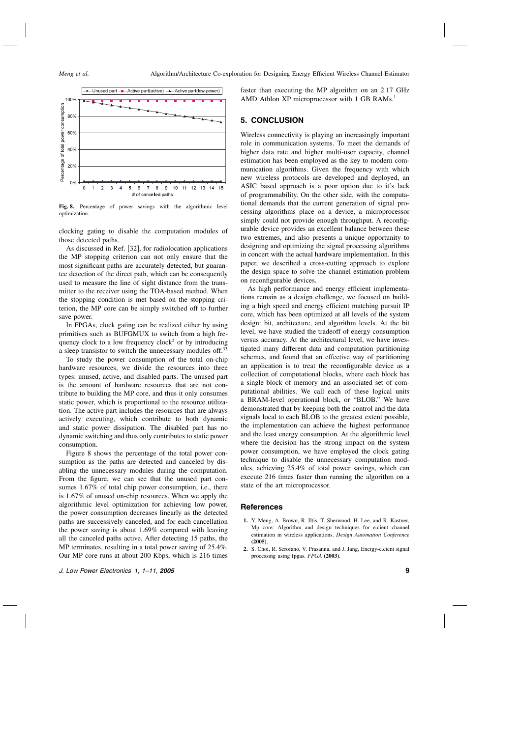

Fig. 8. Percentage of power savings with the algorithmic level optimization.

clocking gating to disable the computation modules of those detected paths.

As discussed in Ref.[32], for radiolocation applications the MP stopping criterion can not only ensure that the most significant paths are accurately detected, but guarantee detection of the direct path, which can be consequently used to measure the line of sight distance from the transmitter to the receiver using the TOA-based method.When the stopping condition is met based on the stopping criterion, the MP core can be simply switched off to further save power.

In FPGAs, clock gating can be realized either by using primitives such as BUFGMUX to switch from a high frequency clock to a low frequency clock<sup>2</sup> or by introducing a sleep transistor to switch the unnecessary modules off.<sup>33</sup>

To study the power consumption of the total on-chip hardware resources, we divide the resources into three types: unused, active, and disabled parts. The unused part is the amount of hardware resources that are not contribute to building the MP core, and thus it only consumes static power, which is proportional to the resource utilization.The active part includes the resources that are always actively executing, which contribute to both dynamic and static power dissipation. The disabled part has no dynamic switching and thus only contributes to static power consumption.

Figure 8 shows the percentage of the total power consumption as the paths are detected and canceled by disabling the unnecessary modules during the computation. From the figure, we can see that the unused part consumes 1.67% of total chip power consumption, i.e., there is 1.67% of unused on-chip resources. When we apply the algorithmic level optimization for achieving low power, the power consumption decreases linearly as the detected paths are successively canceled, and for each cancellation the power saving is about 1.69% compared with leaving all the canceled paths active.After detecting 15 paths, the MP terminates, resulting in a total power saving of 25.4%. Our MP core runs at about 200 Kbps, which is 216 times faster than executing the MP algorithm on an 2.17 GHz AMD Athlon XP microprocessor with 1 GB RAMs.<sup>1</sup>

### 5.CONCLUSION

Wireless connectivity is playing an increasingly important role in communication systems.To meet the demands of higher data rate and higher multi-user capacity, channel estimation has been employed as the key to modern communication algorithms. Given the frequency with which new wireless protocols are developed and deployed, an ASIC based approach is a poor option due to it's lack of programmability.On the other side, with the computational demands that the current generation of signal processing algorithms place on a device, a microprocessor simply could not provide enough throughput. A reconfigurable device provides an excellent balance between these two extremes, and also presents a unique opportunity to designing and optimizing the signal processing algorithms in concert with the actual hardware implementation. In this paper, we described a cross-cutting approach to explore the design space to solve the channel estimation problem on reconfigurable devices.

As high performance and energy efficient implementations remain as a design challenge, we focused on building a high speed and energy efficient matching pursuit IP core, which has been optimized at all levels of the system design: bit, architecture, and algorithm levels. At the bit level, we have studied the tradeoff of energy consumption versus accuracy.At the architectural level, we have investigated many different data and computation partitioning schemes, and found that an effective way of partitioning an application is to treat the reconfigurable device as a collection of computational blocks, where each block has a single block of memory and an associated set of computational abilities.We call each of these logical units a BRAM-level operational block, or "BLOB." We have demonstrated that by keeping both the control and the data signals local to each BLOB to the greatest extent possible, the implementation can achieve the highest performance and the least energy consumption.At the algorithmic level where the decision has the strong impact on the system power consumption, we have employed the clock gating technique to disable the unnecessary computation modules, achieving 25.4% of total power savings, which can execute 216 times faster than running the algorithm on a state of the art microprocessor.

#### References

- 1. Y. Meng, A. Brown, R. Iltis, T. Sherwood, H. Lee, and R. Kastner, Mp core: Algorithm and design techniques for e.cient channel estimation in wireless applications. Design Automation Conference (2005).
- 2. S. Choi, R. Scrofano, V. Prasanna, and J. Jang, Energy-e.cient signal processing using fpgas. FPGA (2003).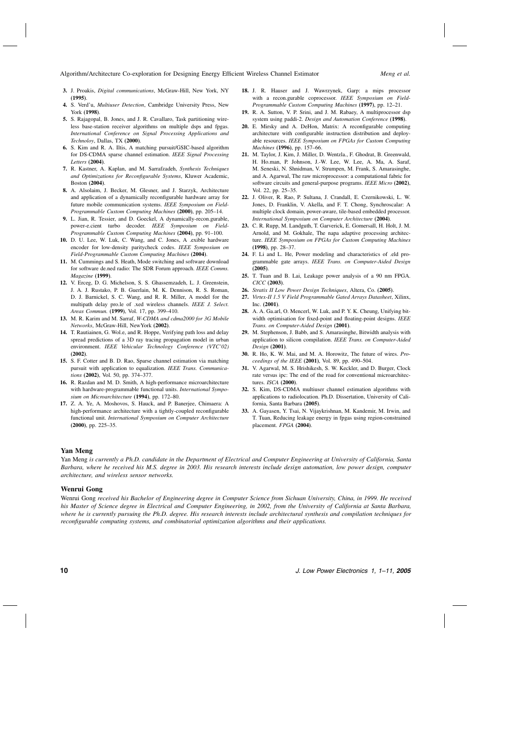- 3. J. Proakis, Digital communications, McGraw-Hill, New York, NY (1995).
- 4. S. Verd'u, Multiuser Detection, Cambridge University Press, New York (1998).
- 5. S. Rajagopal, B. Jones, and J. R. Cavallaro, Task partitioning wireless base-station receiver algorithms on multiple dsps and fpgas. International Conference on Signal Processing Applications and Technoloy, Dallas, TX (2000).
- 6. S.Kim and R.A.Iltis, A matching pursuit/GSIC-based algorithm for DS-CDMA sparse channel estimation. IEEE Signal Processing Letters (2004).
- 7. R. Kastner, A. Kaplan, and M. Sarrafzadeh, Synthesis Techniques and Optimizations for Reconfigurable Systems, Kluwer Academic, Boston (2004).
- 8. A. Alsolaim, J. Becker, M. Glesner, and J. Starzyk, Architecture and application of a dynamically reconfigurable hardware array for future mobile communication systems. IEEE Symposium on Field-Programmable Custom Computing Machines (2000), pp.205–14.
- 9. L.Jian, R.Tessier, and D.Goeckel, A dynamically-recon.gurable, power-e.cient turbo decoder. IEEE Symposium on Field-Programmable Custom Computing Machines (2004), pp. 91-100.
- 10. D.U.Lee, W.Luk, C.Wang, and C.Jones, A .exible hardware encoder for low-density paritycheck codes. IEEE Symposium on Field-Programmable Custom Computing Machines (2004).
- 11. M. Cummings and S. Heath, Mode switching and software download for software de.ned radio: The SDR Forum approach. IEEE Comms. Magazine (1999).
- 12. V.Erceg, D.G.Michelson, S.S.Ghassemzadeh, L.J.Greenstein, J.A.J.Rustako, P.B.Guerlain, M.K.Dennison, R.S.Roman, D.J.Barnickel, S.C.Wang, and R.R.Miller, A model for the multipath delay pro.le of .xed wireless channels. IEEE J. Select. Areas Commun. (1999), Vol.17, pp.399–410.
- 13. M. R. Karim and M. Sarraf, W-CDMA and cdma2000 for 3G Mobile Networks, McGraw-Hill, NewYork (2002).
- 14. T. Rautiainen, G. Wol.e, and R. Hoppe, Verifying path loss and delay spread predictions of a 3D ray tracing propagation model in urban environment. IEEE Vehicular Technology Conference (VTC'02) (2002).
- 15. S.F.Cotter and B.D.Rao, Sparse channel estimation via matching pursuit with application to equalization. IEEE Trans. Communications (2002), Vol. 50, pp. 374-377.
- 16. R.Razdan and M.D.Smith, A high-performance microarchitecture with hardware-programmable functional units. International Symposium on Microarchitecture (1994), pp. 172–80.
- 17. Z.A.Ye, A.Moshovos, S.Hauck, and P.Banerjee, Chimaera: A high-performance architecture with a tightly-coupled reconfigurable functional unit. International Symposium on Computer Architecture  $(2000)$ , pp. 225–35.
- 18. J.R.Hauser and J.Wawrzynek, Garp: a mips processor with a recon.gurable coprocessor. IEEE Symposium on Field-Programmable Custom Computing Machines (1997), pp.12–21.
- 19. R.A.Sutton, V.P.Srini, and J.M.Rabaey, A multiprocessor dsp system using paddi-2. Design and Automation Conference (1998).
- 20. E.Mirsky and A.DeHon, Matrix: A reconfigurable computing architecture with configurable instruction distribution and deployable resources. IEEE Symposium on FPGAs for Custom Computing Machines (1996), pp.157–66.
- 21. M.Taylor, J.Kim, J.Miller, D.Wentzla., F.Ghodrat, B.Greenwald, H.Ho.man, P.Johnson, J.-W.Lee, W.Lee, A.Ma, A.Saraf, M.Seneski, N.Shnidman, V.Strumpen, M.Frank, S.Amarasinghe, and A.Agarwal, The raw microprocessor: a computational fabric for software circuits and general-purpose programs. IEEE Micro (2002), Vol.22, pp.25–35.
- 22. J.Oliver, R.Rao, P.Sultana, J.Crandall, E.Czernikowski, L.W. Jones, D.Franklin, V.Akella, and F.T.Chong, Synchroscalar: A multiple clock domain, power-aware, tile-based embedded processor. International Symposium on Computer Architecture (2004).
- 23. C.R.Rupp, M.Landguth, T.Garverick, E.Gomersall, H.Holt, J.M. Arnold, and M. Gokhale, The napa adaptive processing architecture. IEEE Symposium on FPGAs for Custom Computing Machines (1998), pp.28–37.
- 24. F.Li and L.He, Power modeling and characteristics of .eld programmable gate arrays. IEEE Trans. on Computer-Aided Design (2005).
- 25. T. Tuan and B. Lai, Leakage power analysis of a 90 nm FPGA. CICC (2003).
- 26. Stratix II Low Power Design Techniques, Altera, Co. (2005).
- 27. Virtex-II 1.5 V Field Programmable Gated Arrays Datasheet, Xilinx, Inc. (2001).
- 28. A.A.Ga.arl, O.Mencerl, W.Luk, and P.Y.K.Cheung, Unifying bitwidth optimisation for fixed-point and floating-point designs. IEEE Trans. on Computer-Aided Design (2001).
- 29. M. Stephenson, J. Babb, and S. Amarasinghe, Bitwidth analysis with application to silicon compilation. IEEE Trans. on Computer-Aided Design (2001).
- 30. R.Ho, K.W.Mai, and M.A.Horowitz, The future of wires. Proceedings of the IEEE  $(2001)$ , Vol. 89, pp. 490–504.
- 31. V. Agarwal, M. S. Hrishikesh, S. W. Keckler, and D. Burger, Clock rate versus ipc: The end of the road for conventional microarchitectures. ISCA (2000).
- 32. S.Kim, DS-CDMA multiuser channel estimation algorithms with applications to radiolocation. Ph.D. Dissertation, University of California, Santa Barbara (2005).
- 33. A.Gayasen, Y.Tsai, N.Vijaykrishnan, M.Kandemir, M.Irwin, and T.Tuan, Reducing leakage energy in fpgas using region-constrained placement. FPGA (2004).

#### Yan Meng

Yan Meng is currently a Ph.D. candidate in the Department of Electrical and Computer Engineering at University of California, Santa Barbara, where he received his M.S. degree in 2003. His research interests include design automation, low power design, computer architecture, and wireless sensor networks.

#### Wenrui Gong

Wenrui Gong received his Bachelor of Engineering degree in Computer Science from Sichuan University, China, in 1999. He received his Master of Science degree in Electrical and Computer Engineering, in 2002, from the University of California at Santa Barbara, where he is currently pursuing the Ph.D. degree. His research interests include architectural synthesis and compilation techniques for reconfigurable computing systems, and combinatorial optimization algorithms and their applications.